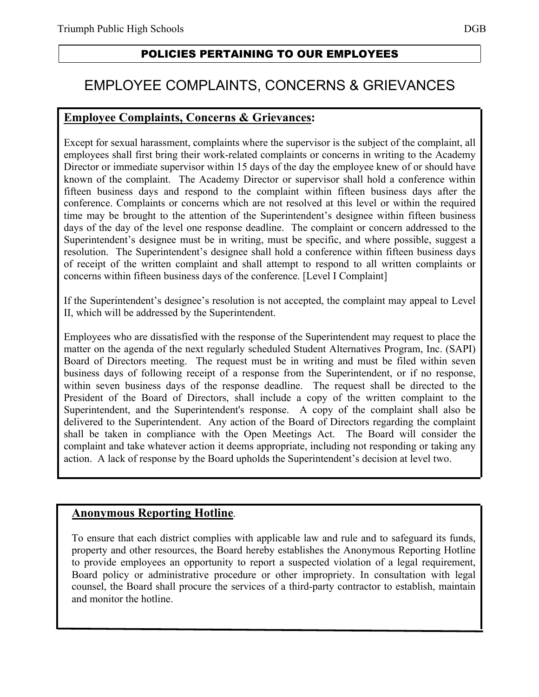### POLICIES PERTAINING TO OUR EMPLOYEES

# EMPLOYEE COMPLAINTS, CONCERNS & GRIEVANCES

#### **Employee Complaints, Concerns & Grievances:**

Except for sexual harassment, complaints where the supervisor is the subject of the complaint, all employees shall first bring their work-related complaints or concerns in writing to the Academy Director or immediate supervisor within 15 days of the day the employee knew of or should have known of the complaint. The Academy Director or supervisor shall hold a conference within fifteen business days and respond to the complaint within fifteen business days after the conference. Complaints or concerns which are not resolved at this level or within the required time may be brought to the attention of the Superintendent's designee within fifteen business days of the day of the level one response deadline. The complaint or concern addressed to the Superintendent's designee must be in writing, must be specific, and where possible, suggest a resolution. The Superintendent's designee shall hold a conference within fifteen business days of receipt of the written complaint and shall attempt to respond to all written complaints or concerns within fifteen business days of the conference. [Level I Complaint]

If the Superintendent's designee's resolution is not accepted, the complaint may appeal to Level II, which will be addressed by the Superintendent.

Employees who are dissatisfied with the response of the Superintendent may request to place the matter on the agenda of the next regularly scheduled Student Alternatives Program, Inc. (SAPI) Board of Directors meeting. The request must be in writing and must be filed within seven business days of following receipt of a response from the Superintendent, or if no response, within seven business days of the response deadline. The request shall be directed to the President of the Board of Directors, shall include a copy of the written complaint to the Superintendent, and the Superintendent's response. A copy of the complaint shall also be delivered to the Superintendent. Any action of the Board of Directors regarding the complaint shall be taken in compliance with the Open Meetings Act. The Board will consider the complaint and take whatever action it deems appropriate, including not responding or taking any action. A lack of response by the Board upholds the Superintendent's decision at level two.

#### **Anonymous Reporting Hotline**.

To ensure that each district complies with applicable law and rule and to safeguard its funds, property and other resources, the Board hereby establishes the Anonymous Reporting Hotline to provide employees an opportunity to report a suspected violation of a legal requirement, Board policy or administrative procedure or other impropriety. In consultation with legal counsel, the Board shall procure the services of a third-party contractor to establish, maintain and monitor the hotline.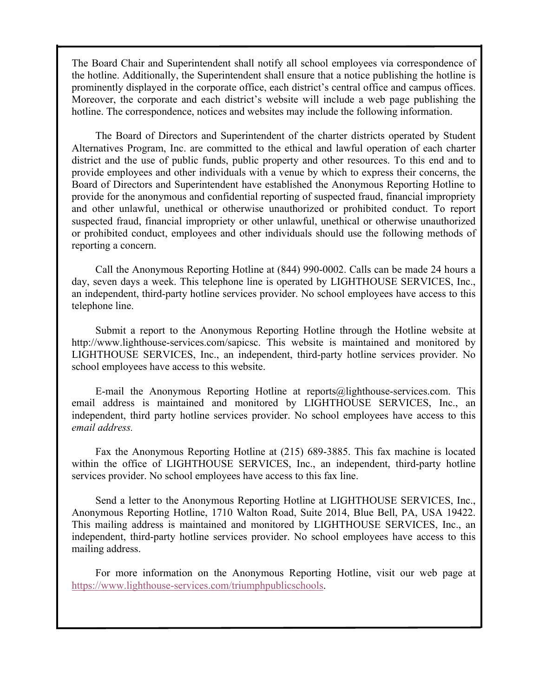The Board Chair and Superintendent shall notify all school employees via correspondence of the hotline. Additionally, the Superintendent shall ensure that a notice publishing the hotline is prominently displayed in the corporate office, each district's central office and campus offices. Moreover, the corporate and each district's website will include a web page publishing the hotline. The correspondence, notices and websites may include the following information.

The Board of Directors and Superintendent of the charter districts operated by Student Alternatives Program, Inc. are committed to the ethical and lawful operation of each charter district and the use of public funds, public property and other resources. To this end and to provide employees and other individuals with a venue by which to express their concerns, the Board of Directors and Superintendent have established the Anonymous Reporting Hotline to provide for the anonymous and confidential reporting of suspected fraud, financial impropriety and other unlawful, unethical or otherwise unauthorized or prohibited conduct. To report suspected fraud, financial impropriety or other unlawful, unethical or otherwise unauthorized or prohibited conduct, employees and other individuals should use the following methods of reporting a concern.

Call the Anonymous Reporting Hotline at (844) 990-0002. Calls can be made 24 hours a day, seven days a week. This telephone line is operated by LIGHTHOUSE SERVICES, Inc., an independent, third-party hotline services provider. No school employees have access to this telephone line.

Submit a report to the Anonymous Reporting Hotline through the Hotline website at http://www.lighthouse-services.com/sapicsc. This website is maintained and monitored by LIGHTHOUSE SERVICES, Inc., an independent, third-party hotline services provider. No school employees have access to this website.

E-mail the Anonymous Reporting Hotline at reports@lighthouse-services.com. This email address is maintained and monitored by LIGHTHOUSE SERVICES, Inc., an independent, third party hotline services provider. No school employees have access to this *email address.*

Fax the Anonymous Reporting Hotline at (215) 689-3885. This fax machine is located within the office of LIGHTHOUSE SERVICES, Inc., an independent, third-party hotline services provider. No school employees have access to this fax line.

Send a letter to the Anonymous Reporting Hotline at LIGHTHOUSE SERVICES, Inc., Anonymous Reporting Hotline, 1710 Walton Road, Suite 2014, Blue Bell, PA, USA 19422. This mailing address is maintained and monitored by LIGHTHOUSE SERVICES, Inc., an independent, third-party hotline services provider. No school employees have access to this mailing address.

For more information on the Anonymous Reporting Hotline, visit our web page at https://www.lighthouse-services.com/triumphpublicschools.